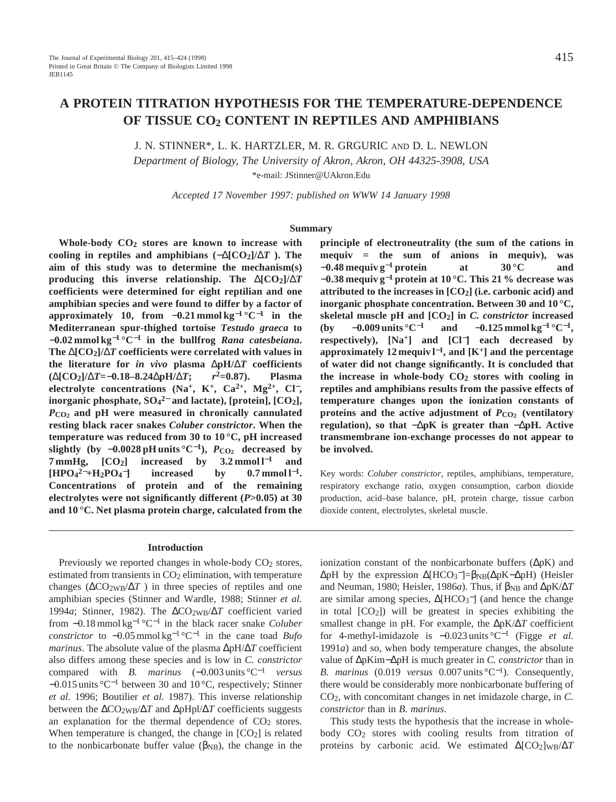# **A PROTEIN TITRATION HYPOTHESIS FOR THE TEMPERATURE-DEPENDENCE OF TISSUE CO2 CONTENT IN REPTILES AND AMPHIBIANS**

J. N. STINNER\*, L. K. HARTZLER, M. R. GRGURIC AND D. L. NEWLON

*Department of Biology, The University of Akron, Akron, OH 44325-3908, USA*

\*e-mail: JStinner@UAkron.Edu

*Accepted 17 November 1997: published on WWW 14 January 1998*

#### **Summary**

**Whole-body CO2 stores are known to increase with cooling in reptiles and amphibians (**−∆**[CO2]/**∆*T* **). The aim of this study was to determine the mechanism(s) producing this inverse relationship. The** ∆**[CO2]/**∆*T* **coefficients were determined for eight reptilian and one amphibian species and were found to differ by a factor of approximately 10, from** −**0.21 mmol kg**−**<sup>1</sup> °C**−**<sup>1</sup> in the Mediterranean spur-thighed tortoise** *Testudo graeca* **to** −**0.02 mmol kg**−**<sup>1</sup> °C**−**<sup>1</sup> in the bullfrog** *Rana catesbeiana***. The** ∆**[CO2]/**∆*T* **coefficients were correlated with values in the literature for** *in vivo* **plasma** ∆**pH/**∆*T* **coefficients (**∆**[CO2]/**∆*T***=**−**0.18–8.24**∆**pH/**∆*T***;** *r***2=0.87). Plasma electrolyte concentrations (Na+, K+, Ca2+, Mg2+, Cl**<sup>−</sup>**, inorganic phosphate, SO4 <sup>2</sup>**<sup>−</sup> **and lactate), [protein], [CO2],** *P***CO2 and pH were measured in chronically cannulated resting black racer snakes** *Coluber constrictor***. When the temperature was reduced from 30 to 10 °C, pH increased** slightly (by  $-0.0028$  pH units °C<sup>−1</sup>),  $P_{CO_2}$  decreased by **7 mmHg, [CO2] increased by 3.2 mmol l**−**<sup>1</sup> and [HPO4 <sup>2</sup>**−**+H2PO4**  $\frac{1}{2}$  increased by 0.7 mmol l<sup>-1</sup>. **Concentrations of protein and of the remaining electrolytes were not significantly different (***P***>0.05) at 30 and 10 °C. Net plasma protein charge, calculated from the**

### **Introduction**

Previously we reported changes in whole-body  $CO<sub>2</sub>$  stores, estimated from transients in  $CO<sub>2</sub>$  elimination, with temperature changes ( $\Delta CO_2W\Delta T$ ) in three species of reptiles and one amphibian species (Stinner and Wardle, 1988; Stinner *et al.* 1994*a*; Stinner, 1982). The ∆CO2WB/∆*T* coefficient varied from −0.18 mmol kg−<sup>1</sup> °C−<sup>1</sup> in the black racer snake *Coluber constrictor* to  $-0.05$  mmol kg<sup>-1</sup> °C<sup>-1</sup> in the cane toad *Bufo marinus*. The absolute value of the plasma ∆pH/∆*T* coefficient also differs among these species and is low in *C. constrictor* compared with *B. marinus* (−0.003 units °C−<sup>1</sup> *versus* −0.015 units °C−<sup>1</sup> between 30 and 10 °C, respectively; Stinner *et al.* 1996; Boutilier *et al.* 1987). This inverse relationship between the ∆CO2WB/∆*T* and ∆pHpl/∆*T* coefficients suggests an explanation for the thermal dependence of  $CO<sub>2</sub>$  stores. When temperature is changed, the change in  $[CO<sub>2</sub>]$  is related to the nonbicarbonate buffer value ( $\beta_{NB}$ ), the change in the

**principle of electroneutrality (the sum of the cations in mequiv = the sum of anions in mequiv), was** −**0.48 mequiv g**−**<sup>1</sup> protein at 30 °C and** −**0.38 mequiv g**−**<sup>1</sup> protein at 10 °C. This 21 % decrease was attributed to the increases in [CO2] (i.e. carbonic acid) and inorganic phosphate concentration. Between 30 and 10 °C, skeletal muscle pH and [CO2] in** *C. constrictor* **increased (by** −**0.009 units °C**−**<sup>1</sup> and** −**0.125 mmol kg**−**<sup>1</sup> °C**<sup>−</sup>**1, respectively), [Na+] and [Cl**<sup>−</sup>**] each decreased by approximately 12 mequiv l**<sup>−</sup>**1, and [K+] and the percentage of water did not change significantly. It is concluded that the increase in whole-body CO2 stores with cooling in reptiles and amphibians results from the passive effects of temperature changes upon the ionization constants of** proteins and the active adjustment of  $P_{C_2}$  (ventilatory **regulation), so that** −∆**pK is greater than** −∆**pH. Active transmembrane ion-exchange processes do not appear to be involved.**

Key words: *Coluber constrictor*, reptiles, amphibians, temperature, respiratory exchange ratio, oxygen consumption, carbon dioxide production, acid–base balance, pH, protein charge, tissue carbon dioxide content, electrolytes, skeletal muscle.

ionization constant of the nonbicarbonate buffers (∆pK) and  $ΔpH$  by the expression  $Δ[HCO_3^-]=β_{NB}(ΔpK-ΔpH)$  (Heisler and Neuman, 1980; Heisler, 1986a). Thus, if  $\beta_{NB}$  and  $\Delta pK/\Delta T$ are similar among species,  $\Delta$ [HCO<sub>3</sub><sup>-</sup>] (and hence the change in total  $[CO_2]$ ) will be greatest in species exhibiting the smallest change in pH. For example, the ∆pK/∆*T* coefficient for 4-methyl-imidazole is −0.023 units °C−<sup>1</sup> (Figge *et al.* 1991*a*) and so, when body temperature changes, the absolute value of ∆pKim−∆pH is much greater in *C. constrictor* than in *B. marinus* (0.019 *versus* 0.007 units °C<sup>-1</sup>). Consequently, there would be considerably more nonbicarbonate buffering of CO2, with concomitant changes in net imidazole charge, in *C. constrictor* than in *B. marinus*.

This study tests the hypothesis that the increase in wholebody CO<sub>2</sub> stores with cooling results from titration of proteins by carbonic acid. We estimated ∆[CO2]WB/∆*T*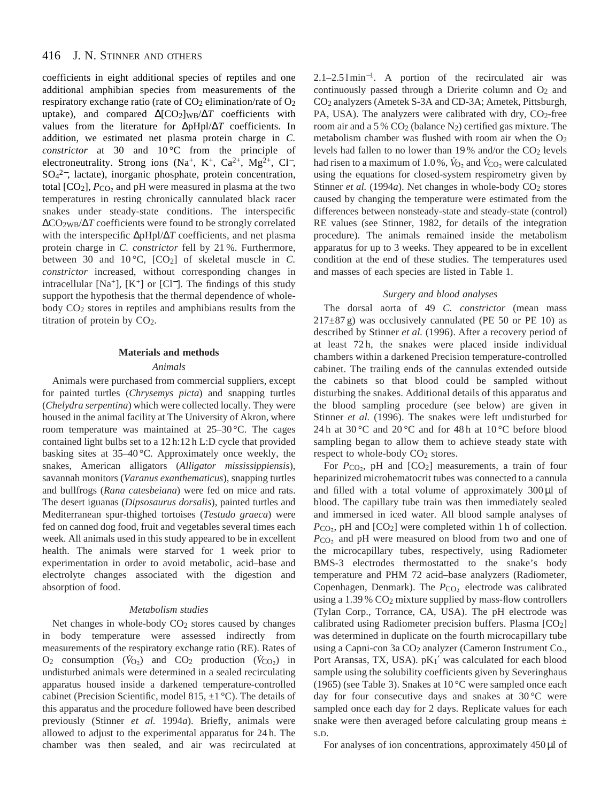coefficients in eight additional species of reptiles and one additional amphibian species from measurements of the respiratory exchange ratio (rate of  $CO<sub>2</sub>$  elimination/rate of  $O<sub>2</sub>$ uptake), and compared ∆[CO2]WB/∆*T* coefficients with values from the literature for ∆pHpl/∆*T* coefficients. In addition, we estimated net plasma protein charge in *C. constrictor* at 30 and 10 °C from the principle of electroneutrality. Strong ions (Na<sup>+</sup>, K<sup>+</sup>, Ca<sup>2+</sup>, Mg<sup>2+</sup>, Cl<sup>-</sup>, SO4 <sup>2</sup>−, lactate), inorganic phosphate, protein concentration, total  $[CO_2]$ ,  $P_{CO_2}$  and pH were measured in plasma at the two temperatures in resting chronically cannulated black racer snakes under steady-state conditions. The interspecific ∆CO2WB/∆*T* coefficients were found to be strongly correlated with the interspecific ∆pHpl/∆*T* coefficients, and net plasma protein charge in *C. constrictor* fell by 21 %. Furthermore, between 30 and 10 °C, [CO2] of skeletal muscle in *C. constrictor* increased, without corresponding changes in intracellular [Na<sup>+</sup>], [K<sup>+</sup>] or [Cl<sup>-</sup>]. The findings of this study support the hypothesis that the thermal dependence of wholebody CO2 stores in reptiles and amphibians results from the titration of protein by CO2.

# **Materials and methods**

# *Animals*

Animals were purchased from commercial suppliers, except for painted turtles (*Chrysemys picta*) and snapping turtles (*Chelydra serpentina*) which were collected locally. They were housed in the animal facility at The University of Akron, where room temperature was maintained at 25–30 °C. The cages contained light bulbs set to a 12 h:12 h L:D cycle that provided basking sites at 35–40 °C. Approximately once weekly, the snakes, American alligators (*Alligator mississippiensis*), savannah monitors (*Varanus exanthematicus*), snapping turtles and bullfrogs (*Rana catesbeiana*) were fed on mice and rats. The desert iguanas (*Dipsosaurus dorsalis*), painted turtles and Mediterranean spur-thighed tortoises (*Testudo graeca*) were fed on canned dog food, fruit and vegetables several times each week. All animals used in this study appeared to be in excellent health. The animals were starved for 1 week prior to experimentation in order to avoid metabolic, acid–base and electrolyte changes associated with the digestion and absorption of food.

# *Metabolism studies*

Net changes in whole-body CO2 stores caused by changes in body temperature were assessed indirectly from measurements of the respiratory exchange ratio (RE). Rates of O<sub>2</sub> consumption  $(\dot{V}_{O_2})$  and CO<sub>2</sub> production  $(\dot{V}_{CO_2})$  in undisturbed animals were determined in a sealed recirculating apparatus housed inside a darkened temperature-controlled cabinet (Precision Scientific, model 815,  $\pm 1$  °C). The details of this apparatus and the procedure followed have been described previously (Stinner *et al.* 1994*a*). Briefly, animals were allowed to adjust to the experimental apparatus for 24 h. The chamber was then sealed, and air was recirculated at

2.1–2.5 l min<sup>−</sup>1. A portion of the recirculated air was continuously passed through a Drierite column and  $O_2$  and CO2 analyzers (Ametek S-3A and CD-3A; Ametek, Pittsburgh, PA, USA). The analyzers were calibrated with dry,  $CO<sub>2</sub>$ -free room air and a 5 %  $CO<sub>2</sub>$  (balance N<sub>2</sub>) certified gas mixture. The metabolism chamber was flushed with room air when the  $O<sub>2</sub>$ levels had fallen to no lower than 19% and/or the  $CO<sub>2</sub>$  levels had risen to a maximum of 1.0%,  $\dot{V}_{\text{O}_2}$  and  $\dot{V}_{\text{CO}_2}$  were calculated using the equations for closed-system respirometry given by Stinner *et al.* (1994*a*). Net changes in whole-body CO<sub>2</sub> stores caused by changing the temperature were estimated from the differences between nonsteady-state and steady-state (control) RE values (see Stinner, 1982, for details of the integration procedure). The animals remained inside the metabolism apparatus for up to 3 weeks. They appeared to be in excellent condition at the end of these studies. The temperatures used and masses of each species are listed in Table 1.

# *Surgery and blood analyses*

The dorsal aorta of 49 *C. constrictor* (mean mass  $217\pm87$  g) was occlusively cannulated (PE 50 or PE 10) as described by Stinner *et al.* (1996). After a recovery period of at least 72 h, the snakes were placed inside individual chambers within a darkened Precision temperature-controlled cabinet. The trailing ends of the cannulas extended outside the cabinets so that blood could be sampled without disturbing the snakes. Additional details of this apparatus and the blood sampling procedure (see below) are given in Stinner *et al.* (1996). The snakes were left undisturbed for 24 h at 30 °C and 20 °C and for 48 h at 10 °C before blood sampling began to allow them to achieve steady state with respect to whole-body  $CO<sub>2</sub>$  stores.

For  $P_{CO<sub>2</sub>$ , pH and  $[CO<sub>2</sub>]$  measurements, a train of four heparinized microhematocrit tubes was connected to a cannula and filled with a total volume of approximately  $300 \mu l$  of blood. The capillary tube train was then immediately sealed and immersed in iced water. All blood sample analyses of  $P_{CO_2}$ , pH and  $[CO_2]$  were completed within 1 h of collection. *P*CO<sub>2</sub> and pH were measured on blood from two and one of the microcapillary tubes, respectively, using Radiometer BMS-3 electrodes thermostatted to the snake's body temperature and PHM 72 acid–base analyzers (Radiometer, Copenhagen, Denmark). The *P*<sub>CO2</sub> electrode was calibrated using a 1.39 % CO2 mixture supplied by mass-flow controllers (Tylan Corp., Torrance, CA, USA). The pH electrode was calibrated using Radiometer precision buffers. Plasma [CO2] was determined in duplicate on the fourth microcapillary tube using a Capni-con 3a CO2 analyzer (Cameron Instrument Co., Port Aransas, TX, USA). pK1' was calculated for each blood sample using the solubility coefficients given by Severinghaus (1965) (see Table 3). Snakes at 10 °C were sampled once each day for four consecutive days and snakes at  $30^{\circ}$ C were sampled once each day for 2 days. Replicate values for each snake were then averaged before calculating group means  $\pm$ S.D.

For analyses of ion concentrations, approximately 450µl of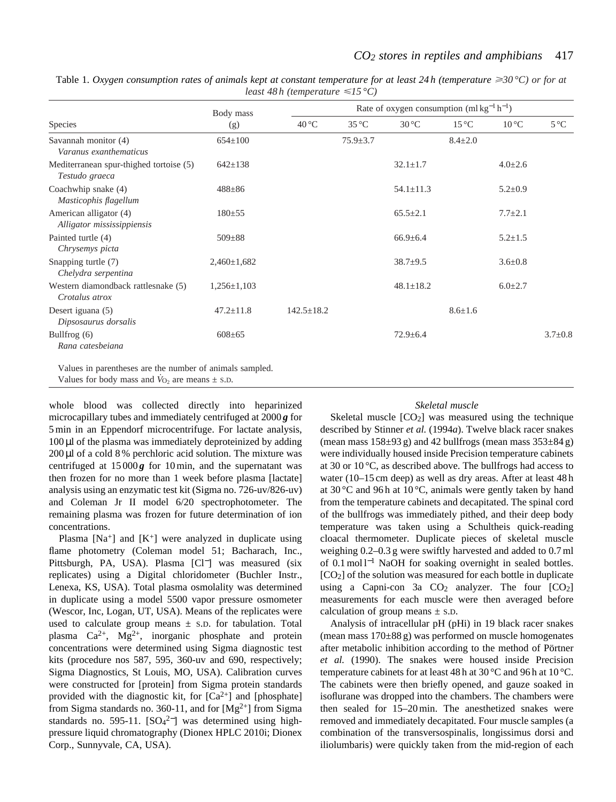|                                                           | Body mass         | Rate of oxygen consumption $(mlkg^{-1}h^{-1})$ |                |                 |                |                |               |
|-----------------------------------------------------------|-------------------|------------------------------------------------|----------------|-----------------|----------------|----------------|---------------|
| Species                                                   | (g)               | $40^{\circ}$ C                                 | $35^{\circ}$ C | $30^{\circ}$ C  | $15^{\circ}$ C | $10^{\circ}$ C | $5^{\circ}$ C |
| Savannah monitor (4)<br>Varanus exanthematicus            | $654 \pm 100$     |                                                | $75.9 \pm 3.7$ |                 | $8.4 \pm 2.0$  |                |               |
| Mediterranean spur-thighed tortoise (5)<br>Testudo graeca | $642 \pm 138$     |                                                |                | $32.1 \pm 1.7$  |                | $4.0 \pm 2.6$  |               |
| Coachwhip snake (4)<br>Masticophis flagellum              | $488 \pm 86$      |                                                |                | $54.1 \pm 11.3$ |                | $5.2 \pm 0.9$  |               |
| American alligator (4)<br>Alligator mississippiensis      | $180 \pm 55$      |                                                |                | $65.5 \pm 2.1$  |                | $7.7 \pm 2.1$  |               |
| Painted turtle (4)<br>Chrysemys picta                     | $509 \pm 88$      |                                                |                | $66.9 \pm 6.4$  |                | $5.2 \pm 1.5$  |               |
| Snapping turtle (7)<br>Chelydra serpentina                | $2,460 \pm 1,682$ |                                                |                | $38.7 \pm 9.5$  |                | $3.6 \pm 0.8$  |               |
| Western diamondback rattlesnake (5)<br>Crotalus atrox     | $1,256 \pm 1,103$ |                                                |                | $48.1 \pm 18.2$ |                | $6.0 \pm 2.7$  |               |
| Desert iguana (5)<br>Dipsosaurus dorsalis                 | $47.2 \pm 11.8$   | $142.5 \pm 18.2$                               |                |                 | $8.6 \pm 1.6$  |                |               |
| Bullfrog $(6)$<br>Rana catesbeiana                        | $608 \pm 65$      |                                                |                | $72.9 \pm 6.4$  |                |                | $3.7 \pm 0.8$ |

Table 1. Oxygen consumption rates of animals kept at constant temperature for at least 24 h (temperature  $\geq 30^{\circ}$ C) or for at *least 48 h (temperature* <*15 °C)*

Values in parentheses are the number of animals sampled.

Values for body mass and  $\dot{V}_{\text{O}2}$  are means  $\pm$  s.D.

whole blood was collected directly into heparinized microcapillary tubes and immediately centrifuged at 2000 *g* for 5 min in an Eppendorf microcentrifuge. For lactate analysis,  $100 \mu$ l of the plasma was immediately deproteinized by adding 200 µl of a cold 8 % perchloric acid solution. The mixture was centrifuged at  $15000g$  for 10 min, and the supernatant was then frozen for no more than 1 week before plasma [lactate] analysis using an enzymatic test kit (Sigma no. 726-uv/826-uv) and Coleman Jr II model 6/20 spectrophotometer. The remaining plasma was frozen for future determination of ion concentrations.

Plasma  $[Na^+]$  and  $[K^+]$  were analyzed in duplicate using flame photometry (Coleman model 51; Bacharach, Inc., Pittsburgh, PA, USA). Plasma [Cl−] was measured (six replicates) using a Digital chloridometer (Buchler Instr., Lenexa, KS, USA). Total plasma osmolality was determined in duplicate using a model 5500 vapor pressure osmometer (Wescor, Inc, Logan, UT, USA). Means of the replicates were used to calculate group means  $\pm$  S.D. for tabulation. Total plasma  $Ca^{2+}$ , Mg<sup>2+</sup>, inorganic phosphate and protein concentrations were determined using Sigma diagnostic test kits (procedure nos 587, 595, 360-uv and 690, respectively; Sigma Diagnostics, St Louis, MO, USA). Calibration curves were constructed for [protein] from Sigma protein standards provided with the diagnostic kit, for  $[Ca^{2+}]$  and [phosphate] from Sigma standards no. 360-11, and for  $[Mg^{2+}]$  from Sigma standards no. 595-11.  $[SO_4^{2-}]$  was determined using highpressure liquid chromatography (Dionex HPLC 2010i; Dionex Corp., Sunnyvale, CA, USA).

# *Skeletal muscle*

Skeletal muscle  $[CO_2]$  was measured using the technique described by Stinner *et al.* (1994*a*). Twelve black racer snakes (mean mass  $158\pm93$  g) and 42 bullfrogs (mean mass  $353\pm84$  g) were individually housed inside Precision temperature cabinets at 30 or 10 °C, as described above. The bullfrogs had access to water (10–15 cm deep) as well as dry areas. After at least 48 h at 30 °C and 96 h at 10 °C, animals were gently taken by hand from the temperature cabinets and decapitated. The spinal cord of the bullfrogs was immediately pithed, and their deep body temperature was taken using a Schultheis quick-reading cloacal thermometer. Duplicate pieces of skeletal muscle weighing 0.2–0.3 g were swiftly harvested and added to 0.7 ml of 0.1 mol l<sup>-1</sup> NaOH for soaking overnight in sealed bottles. [CO2] of the solution was measured for each bottle in duplicate using a Capni-con 3a  $CO<sub>2</sub>$  analyzer. The four  $[CO<sub>2</sub>]$ measurements for each muscle were then averaged before calculation of group means  $\pm$  s.D.

Analysis of intracellular pH (pHi) in 19 black racer snakes (mean mass 170±88 g) was performed on muscle homogenates after metabolic inhibition according to the method of Pörtner *et al.* (1990). The snakes were housed inside Precision temperature cabinets for at least 48 h at 30 °C and 96 h at 10 °C. The cabinets were then briefly opened, and gauze soaked in isoflurane was dropped into the chambers. The chambers were then sealed for 15–20 min. The anesthetized snakes were removed and immediately decapitated. Four muscle samples (a combination of the transversospinalis, longissimus dorsi and iliolumbaris) were quickly taken from the mid-region of each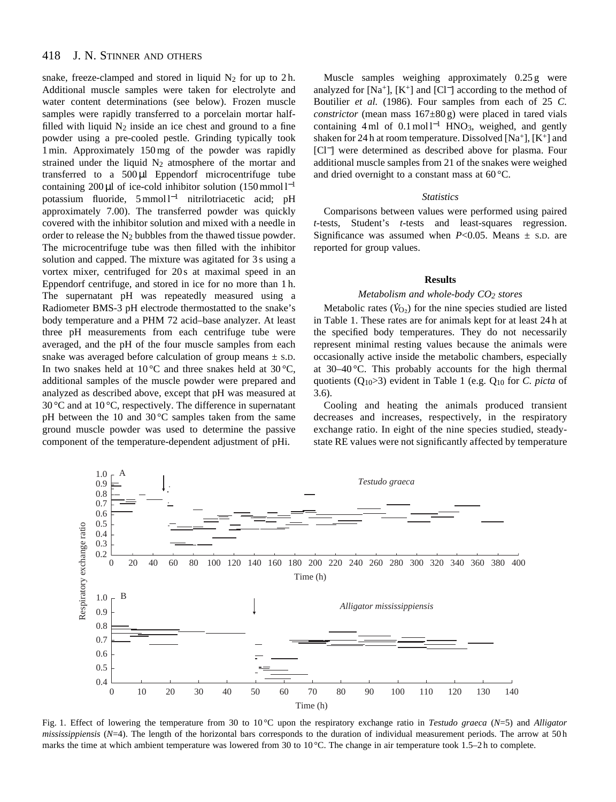#### 418 J. N. STINNER AND OTHERS

snake, freeze-clamped and stored in liquid  $N_2$  for up to 2h. Additional muscle samples were taken for electrolyte and water content determinations (see below). Frozen muscle samples were rapidly transferred to a porcelain mortar halffilled with liquid  $N_2$  inside an ice chest and ground to a fine powder using a pre-cooled pestle. Grinding typically took 1 min. Approximately 150 mg of the powder was rapidly strained under the liquid  $N_2$  atmosphere of the mortar and transferred to a 500 µl Eppendorf microcentrifuge tube containing 200 μl of ice-cold inhibitor solution (150 mmol l<sup>-1</sup> potassium fluoride, 5 mmol l−<sup>1</sup> nitrilotriacetic acid; pH approximately 7.00). The transferred powder was quickly covered with the inhibitor solution and mixed with a needle in order to release the  $N_2$  bubbles from the thawed tissue powder. The microcentrifuge tube was then filled with the inhibitor solution and capped. The mixture was agitated for 3 s using a vortex mixer, centrifuged for 20 s at maximal speed in an Eppendorf centrifuge, and stored in ice for no more than 1 h. The supernatant pH was repeatedly measured using a Radiometer BMS-3 pH electrode thermostatted to the snake's body temperature and a PHM 72 acid–base analyzer. At least three pH measurements from each centrifuge tube were averaged, and the pH of the four muscle samples from each snake was averaged before calculation of group means  $\pm$  s.D. In two snakes held at  $10^{\circ}$ C and three snakes held at  $30^{\circ}$ C, additional samples of the muscle powder were prepared and analyzed as described above, except that pH was measured at 30 °C and at 10 °C, respectively. The difference in supernatant pH between the 10 and 30 °C samples taken from the same ground muscle powder was used to determine the passive component of the temperature-dependent adjustment of pHi.

Muscle samples weighing approximately 0.25 g were analyzed for [Na+],  $[K^+]$  and [Cl<sup>-</sup>] according to the method of Boutilier *et al.* (1986). Four samples from each of 25 *C. constrictor* (mean mass 167±80 g) were placed in tared vials containing 4 ml of  $0.1 \text{ mol}^{-1}$  HNO<sub>3</sub>, weighed, and gently shaken for 24 h at room temperature. Dissolved  $[Na^+]$ ,  $[K^+]$  and [Cl−] were determined as described above for plasma. Four additional muscle samples from 21 of the snakes were weighed and dried overnight to a constant mass at 60 °C.

# *Statistics*

Comparisons between values were performed using paired *t*-tests, Student's *t*-tests and least-squares regression. Significance was assumed when  $P<0.05$ . Means  $\pm$  s.D. are reported for group values.

#### **Results**

# *Metabolism and whole-body CO2 stores*

Metabolic rates  $(\dot{V}_{0_2})$  for the nine species studied are listed in Table 1. These rates are for animals kept for at least 24 h at the specified body temperatures. They do not necessarily represent minimal resting values because the animals were occasionally active inside the metabolic chambers, especially at  $30-40$  °C. This probably accounts for the high thermal quotients (Q10>3) evident in Table 1 (e.g. Q10 for *C. picta* of 3.6).

Cooling and heating the animals produced transient decreases and increases, respectively, in the respiratory exchange ratio. In eight of the nine species studied, steadystate RE values were not significantly affected by temperature



Fig. 1. Effect of lowering the temperature from 30 to 10 °C upon the respiratory exchange ratio in *Testudo graeca* (*N*=5) and *Alligator mississippiensis* ( $N=4$ ). The length of the horizontal bars corresponds to the duration of individual measurement periods. The arrow at 50 h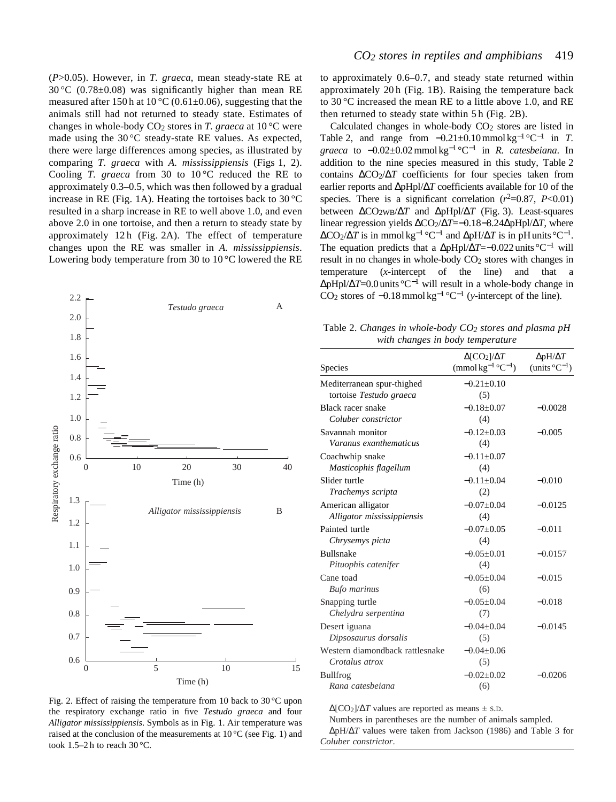(*P*>0.05). However, in *T. graeca*, mean steady-state RE at 30 °C (0.78±0.08) was significantly higher than mean RE measured after 150 h at 10 °C (0.61 $\pm$ 0.06), suggesting that the animals still had not returned to steady state. Estimates of changes in whole-body CO2 stores in *T. graeca* at 10 °C were made using the 30 °C steady-state RE values. As expected, there were large differences among species, as illustrated by comparing *T. graeca* with *A. mississippiensis* (Figs 1, 2). Cooling *T. graeca* from 30 to 10 °C reduced the RE to approximately 0.3–0.5, which was then followed by a gradual increase in RE (Fig. 1A). Heating the tortoises back to  $30^{\circ}$ C resulted in a sharp increase in RE to well above 1.0, and even above 2.0 in one tortoise, and then a return to steady state by approximately 12 h (Fig. 2A). The effect of temperature changes upon the RE was smaller in *A. mississippiensis*. Lowering body temperature from 30 to 10 °C lowered the RE



Fig. 2. Effect of raising the temperature from 10 back to  $30^{\circ}$ C upon the respiratory exchange ratio in five *Testudo graeca* and four *Alligator mississippiensis*. Symbols as in Fig. 1. Air temperature was raised at the conclusion of the measurements at  $10\,^{\circ}\text{C}$  (see Fig. 1) and took 1.5–2 h to reach  $30^{\circ}$ C.

to approximately 0.6–0.7, and steady state returned within approximately 20 h (Fig. 1B). Raising the temperature back to 30 °C increased the mean RE to a little above 1.0, and RE then returned to steady state within 5 h (Fig. 2B).

Calculated changes in whole-body  $CO<sub>2</sub>$  stores are listed in Table 2, and range from  $-0.21 \pm 0.10$  mmol kg<sup>-1</sup> °C<sup>-1</sup> in *T*. *graeca* to −0.02±0.02 mmol kg−<sup>1</sup> °C−<sup>1</sup> in *R. catesbeiana*. In addition to the nine species measured in this study, Table 2 contains ∆CO2/∆*T* coefficients for four species taken from earlier reports and ∆pHpl/∆*T* coefficients available for 10 of the species. There is a significant correlation  $(r^2=0.87, P<0.01)$ between  $\Delta CO_2WB}/\Delta T$  and  $\Delta pHD1/\Delta T$  (Fig. 3). Least-squares linear regression yields ∆CO2/∆*T*=−0.18−8.24∆pHpl/∆*T*, where ∆CO2/∆*T* is in mmol kg−<sup>1</sup> °C−<sup>1</sup> and ∆pH/∆*T* is in pH units °C<sup>−</sup>1. The equation predicts that a ∆pHpl/∆*T*=−0.022 units °C−<sup>1</sup> will result in no changes in whole-body CO<sub>2</sub> stores with changes in temperature (*x*-intercept of the line) and that a ∆pHpl/∆*T*=0.0 units °C−<sup>1</sup> will result in a whole-body change in CO2 stores of −0.18 mmol kg−<sup>1</sup> °C−<sup>1</sup> (*y-*intercept of the line).

Table 2. *Changes in whole-body CO2 stores and plasma pH with changes in body temperature*

| Species                                               | $\Delta$ [CO <sub>2</sub> ]/ $\Delta T$<br>(mmol kg <sup>-1</sup> °C <sup>-1</sup> ) | $\Delta$ pH/ $\Delta T$<br>(units $^{\circ}C^{-1}$ ) |
|-------------------------------------------------------|--------------------------------------------------------------------------------------|------------------------------------------------------|
| Mediterranean spur-thighed<br>tortoise Testudo graeca | $-0.21 \pm 0.10$<br>(5)                                                              |                                                      |
| Black racer snake<br>Coluber constrictor              | $-0.18 \pm 0.07$<br>(4)                                                              | $-0.0028$                                            |
| Savannah monitor<br>Varanus exanthematicus            | $-0.12 \pm 0.03$<br>(4)                                                              | $-0.005$                                             |
| Coachwhip snake<br>Masticophis flagellum              | $-0.11 + 0.07$<br>(4)                                                                |                                                      |
| Slider turtle<br>Trachemys scripta                    | $-0.11 + 0.04$<br>(2)                                                                | $-0.010$                                             |
| American alligator<br>Alligator mississippiensis      | $-0.07+0.04$<br>(4)                                                                  | $-0.0125$                                            |
| Painted turtle<br>Chrysemys picta                     | $-0.07+0.05$<br>(4)                                                                  | $-0.011$                                             |
| <b>Bullsnake</b><br>Pituophis catenifer               | $-0.05+0.01$<br>(4)                                                                  | $-0.0157$                                            |
| Cane toad<br><b>Bufo</b> marinus                      | $-0.05+0.04$<br>(6)                                                                  | $-0.015$                                             |
| Snapping turtle<br>Chelydra serpentina                | $-0.05 \pm 0.04$<br>(7)                                                              | $-0.018$                                             |
| Desert iguana<br>Dipsosaurus dorsalis                 | $-0.04+0.04$<br>(5)                                                                  | $-0.0145$                                            |
| Western diamondback rattlesnake<br>Crotalus atrox     | $-0.04 \pm 0.06$<br>(5)                                                              |                                                      |
| <b>Bullfrog</b><br>Rana catesbeiana                   | $-0.02 \pm 0.02$<br>(6)                                                              | $-0.0206$                                            |

 $\Delta$ [CO<sub>2</sub>]/ $\Delta T$  values are reported as means  $\pm$  s.D.

Numbers in parentheses are the number of animals sampled. ∆pH/∆*T* values were taken from Jackson (1986) and Table 3 for *Coluber constrictor*.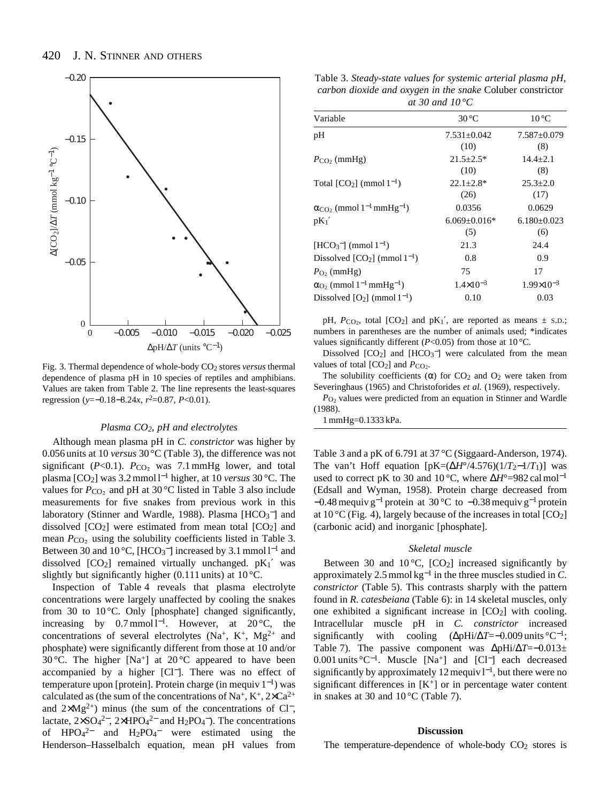

Fig. 3. Thermal dependence of whole-body CO2 stores *versus* thermal dependence of plasma pH in 10 species of reptiles and amphibians. Values are taken from Table 2. The line represents the least-squares regression (*y*=−0.18−8.24*x*, *r*2=0.87, *P*<0.01).

### *Plasma CO2, pH and electrolytes*

Although mean plasma pH in *C. constrictor* was higher by 0.056 units at 10 *versus* 30 °C (Table 3), the difference was not significant ( $P < 0.1$ ).  $P_{CO_2}$  was 7.1 mmHg lower, and total plasma [CO2] was 3.2 mmol l−<sup>1</sup> higher, at 10 *versus* 30 °C. The values for  $P_{CO<sub>2</sub>}$  and pH at 30 °C listed in Table 3 also include measurements for five snakes from previous work in this laboratory (Stinner and Wardle, 1988). Plasma [HCO<sub>3</sub><sup>-</sup>] and dissolved  $[CO_2]$  were estimated from mean total  $[CO_2]$  and mean  $P_{\text{CO}_2}$  using the solubility coefficients listed in Table 3. Between 30 and  $10\degree C$ , [HCO<sub>3</sub><sup>-</sup>] increased by 3.1 mmol  $1^{-1}$  and dissolved  $[CO_2]$  remained virtually unchanged.  $pK_1'$  was slightly but significantly higher (0.111 units) at  $10^{\circ}$ C.

Inspection of Table 4 reveals that plasma electrolyte concentrations were largely unaffected by cooling the snakes from 30 to 10 $\degree$ C. Only [phosphate] changed significantly, increasing by  $0.7 \text{ mmol } 1^{-1}$ . However, at  $20 \degree \text{C}$ , the concentrations of several electrolytes (Na<sup>+</sup>, K<sup>+</sup>, Mg<sup>2+</sup> and phosphate) were significantly different from those at 10 and/or 30 °C. The higher [Na<sup>+</sup>] at 20 °C appeared to have been accompanied by a higher [Cl−]. There was no effect of temperature upon [protein]. Protein charge (in mequiv  $1^{-1}$ ) was calculated as (the sum of the concentrations of Na<sup>+</sup>, K<sup>+</sup>, 2×Ca<sup>2+</sup> and  $2\times Mg^{2+}$ ) minus (the sum of the concentrations of Cl<sup>-</sup>, lactate,  $2 \times SO_4^2$ <sup>-</sup>,  $2 \times HPO_4^2$ <sup>-</sup> and  $H_2PO_4$ <sup>-</sup>). The concentrations of  $HPO_4^{2-}$  and  $H_2PO_4^-$  were estimated using the Henderson–Hasselbalch equation, mean pH values from

Table 3. *Steady-state values for systemic arterial plasma pH, carbon dioxide and oxygen in the snake* Coluber constrictor *at 30 and 10 °C*

| Variable                                                       | $30^{\circ}$ C       | $10^{\circ}$ C      |
|----------------------------------------------------------------|----------------------|---------------------|
| pH                                                             | $7.531 \pm 0.042$    | $7.587 \pm 0.079$   |
|                                                                | (10)                 | (8)                 |
| $P_{CO_2}$ (mmHg)                                              | $21.5 \pm 2.5^*$     | $14.4 \pm 2.1$      |
|                                                                | (10)                 | (8)                 |
| Total $[CO_2]$ (mmol $1^{-1}$ )                                | $22.1 \pm 2.8^*$     | $25.3 \pm 2.0$      |
|                                                                | (26)                 | (17)                |
| $\alpha_{\rm CO}$ , (mmol 1 <sup>-1</sup> mmHg <sup>-1</sup> ) | 0.0356               | 0.0629              |
| $pK_1'$                                                        | $6.069 + 0.016*$     | $6.180 + 0.023$     |
|                                                                | (5)                  | (6)                 |
| $[HCO3-]$ (mmol $1-1$ )                                        | 21.3                 | 24.4                |
| Dissolved $[CO_2]$ (mmol $1^{-1}$ )                            | 0.8                  | 0.9                 |
| $P_{\Omega}$ (mmHg)                                            | 75                   | 17                  |
| $\alpha_{O_2}$ (mmol 1 <sup>-1</sup> mmHg <sup>-1</sup> )      | $1.4 \times 10^{-3}$ | $1.99\times10^{-3}$ |
| Dissolved $[O_2]$ (mmol $1^{-1}$ )                             | 0.10                 | 0.03                |
|                                                                |                      |                     |

pH,  $P_{CO_2}$ , total  $[CO_2]$  and  $pK_1'$ , are reported as means  $\pm$  s.D.; numbers in parentheses are the number of animals used; \*indicates values significantly different ( $P<0.05$ ) from those at 10 °C.

Dissolved  $[CO_2]$  and  $[HCO_3^-]$  were calculated from the mean values of total  $[CO_2]$  and  $P_{CO_2}$ .

The solubility coefficients  $(\alpha)$  for CO<sub>2</sub> and O<sub>2</sub> were taken from Severinghaus (1965) and Christoforides *et al.* (1969), respectively.

 $P<sub>O2</sub>$  values were predicted from an equation in Stinner and Wardle (1988).

1 mmHg=0.1333 kPa.

Table 3 and a pK of 6.791 at 37 °C (Siggaard-Anderson, 1974). The van't Hoff equation  $[pK=(\Delta H^{\circ}/4.576)(1/T_{2}-1/T_{1})]$  was used to correct pK to 30 and 10 °C, where Δ*H*°=982 cal mol<sup>-1</sup> (Edsall and Wyman, 1958). Protein charge decreased from  $-0.48$  mequiv g<sup>-1</sup> protein at 30 °C to  $-0.38$  mequiv g<sup>-1</sup> protein at 10 °C (Fig. 4), largely because of the increases in total  $[CO<sub>2</sub>]$ (carbonic acid) and inorganic [phosphate].

## *Skeletal muscle*

Between 30 and 10 $\degree$ C, [CO<sub>2</sub>] increased significantly by approximately 2.5 mmol kg−<sup>1</sup> in the three muscles studied in *C. constrictor* (Table 5). This contrasts sharply with the pattern found in *R. catesbeiana* (Table 6): in 14 skeletal muscles, only one exhibited a significant increase in  $[CO<sub>2</sub>]$  with cooling. Intracellular muscle pH in *C. constrictor* increased significantly with cooling (∆pHi/∆*T*=−0.009 units °C<sup>−</sup>1; Table 7). The passive component was ∆pHi/∆*T*=−0.013± 0.001 units °C<sup>−</sup>1. Muscle [Na+] and [Cl<sup>−</sup>] each decreased significantly by approximately 12 mequiv l<sup>-1</sup>, but there were no significant differences in  $[K^+]$  or in percentage water content in snakes at 30 and  $10^{\circ}$ C (Table 7).

#### **Discussion**

The temperature-dependence of whole-body  $CO<sub>2</sub>$  stores is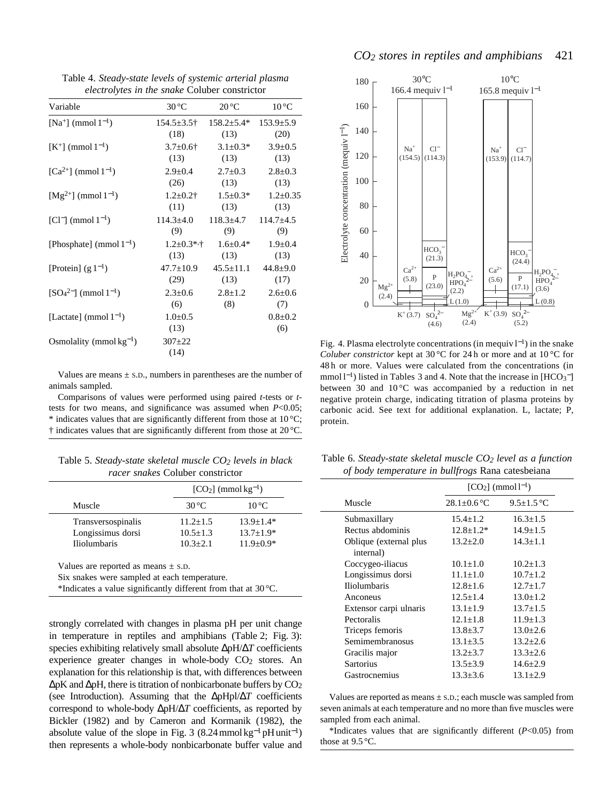Table 4. *Steady-state levels of systemic arterial plasma electrolytes in the snake* Coluber constrictor

| Variable                     | $30^{\circ}$ C        | $20^{\circ}$ C   | $10^{\circ}$ C       |
|------------------------------|-----------------------|------------------|----------------------|
| $[Na^{+}] \pmod{1^{-1}}$     | $154.5 \pm 3.5$ †     | $158.2 \pm 5.4*$ | $153.9 \pm 5.9$      |
|                              | (18)                  | (13)             | (20)                 |
| $[K^+]$ (mmol $1^{-1}$ )     | $3.7 \pm 0.6$ †       | $3.1 \pm 0.3^*$  | $3.9 \pm 0.5$        |
|                              | (13)                  | (13)             | (13)                 |
| $[Ca^{2+}]$ (mmol $1^{-1}$ ) | $2.9 \pm 0.4$         | $2.7 \pm 0.3$    | $2.8 \pm 0.3$        |
|                              | (26)                  | (13)             | (13)                 |
| $[Mg^{2+}]$ (mmol $1^{-1}$ ) | $1.2 \pm 0.2$ †       | $1.5 \pm 0.3*$   | $1.2 \pm 0.35$       |
|                              | (11)                  | (13)             | (13)                 |
| $[Cl^-]$ (mmol $1^{-1}$ )    | $114.3 \pm 4.0$       | $118.3 \pm 4.7$  | $114.7 \pm 4.5$      |
|                              | (9)                   | (9)              | (9)                  |
| [Phosphate] (mmol $1^{-1}$ ) | $1.2 \pm 0.3$ *,†     | $1.6 \pm 0.4*$   | $1.9 \pm 0.4$        |
|                              | (13)                  | (13)             | (13)                 |
| [Protein] $(g 1^{-1})$       | $47.7 \pm 10.9$       | $45.5 \pm 11.1$  | $44.8 \pm 9.0$       |
|                              | (29)                  | (13)             | (17)                 |
| $[SO_4^{2-}] \pmod{1^{-1}}$  | $2.3 \pm 0.6$         | $2.8 \pm 1.2$    | $2.6 \pm 0.6$        |
|                              | (6)                   | (8)              | (7)                  |
| [Lactate] (mmol $1^{-1}$ )   | $1.0 \pm 0.5$<br>(13) |                  | $0.8 \pm 0.2$<br>(6) |
| Osmolality (mmol $kg^{-1}$ ) | $307 + 22$<br>(14)    |                  |                      |

Values are means  $\pm$  s.D., numbers in parentheses are the number of animals sampled.

Comparisons of values were performed using paired *t*-tests or *t*tests for two means, and significance was assumed when *P*<0.05;  $*$  indicates values that are significantly different from those at 10 °C; † indicates values that are significantly different from those at 20 °C.

Table 5. *Steady-state skeletal muscle CO2 levels in black racer snakes* Coluber constrictor

|                                                                                                                                                                    |                | $[CO2]$ (mmol kg <sup>-1</sup> ) |  |  |
|--------------------------------------------------------------------------------------------------------------------------------------------------------------------|----------------|----------------------------------|--|--|
| Muscle                                                                                                                                                             | $30^{\circ}$ C | $10^{\circ}$ C                   |  |  |
| Transversospinalis                                                                                                                                                 | $11.2 + 1.5$   | $13.9 + 1.4*$                    |  |  |
| Longissimus dorsi                                                                                                                                                  | $10.5 \pm 1.3$ | $13.7 \pm 1.9*$                  |  |  |
| <b>Iliolumbaris</b>                                                                                                                                                | $10.3 + 2.1$   | $11.9 + 0.9*$                    |  |  |
| Values are reported as means $\pm$ s.D.<br>Six snakes were sampled at each temperature.<br>*Indicates a value significantly different from that at $30^{\circ}$ C. |                |                                  |  |  |

strongly correlated with changes in plasma pH per unit change in temperature in reptiles and amphibians (Table 2; Fig. 3): species exhibiting relatively small absolute ∆pH/∆*T* coefficients experience greater changes in whole-body  $CO<sub>2</sub>$  stores. An explanation for this relationship is that, with differences between  $\Delta pK$  and  $\Delta pH$ , there is titration of nonbicarbonate buffers by  $CO<sub>2</sub>$ (see Introduction). Assuming that the ∆pHpl/∆*T* coefficients correspond to whole-body ∆pH/∆*T* coefficients, as reported by Bickler (1982) and by Cameron and Kormanik (1982), the absolute value of the slope in Fig. 3 (8.24 mmol kg<sup>-1</sup> pH unit<sup>-1</sup>) then represents a whole-body nonbicarbonate buffer value and



Fig. 4. Plasma electrolyte concentrations (in mequiv  $l^{-1}$ ) in the snake *Coluber constrictor* kept at 30 °C for 24 h or more and at 10 °C for 48 h or more. Values were calculated from the concentrations (in mmol l<sup>-1</sup>) listed in Tables 3 and 4. Note that the increase in [HCO<sub>3</sub><sup>-</sup>] between 30 and 10 °C was accompanied by a reduction in net negative protein charge, indicating titration of plasma proteins by carbonic acid. See text for additional explanation. L, lactate; P, protein.

| Table 6. Steady-state skeletal muscle $CO2$ level as a function |
|-----------------------------------------------------------------|
| of body temperature in bullfrogs Rana catesbeiana               |

|                        | $[CO_2] \ (mmol1^{-1})$ |                  |  |
|------------------------|-------------------------|------------------|--|
| Muscle                 | $28.1 \pm 0.6$ °C       | $9.5 \pm 1.5$ °C |  |
| Submaxillary           | $15.4 + 1.2$            | $16.3 + 1.5$     |  |
| Rectus abdominis       | $12.8 + 1.2*$           | $14.9 + 1.5$     |  |
| Oblique (external plus | $13.2 \pm 2.0$          | $14.3 + 1.1$     |  |
| internal)              |                         |                  |  |
| Coccygeo-iliacus       | $10.1 + 1.0$            | $10.2 + 1.3$     |  |
| Longissimus dorsi      | $11.1 + 1.0$            | $10.7 + 1.2$     |  |
| <b>Iliolumbaris</b>    | $12.8 + 1.6$            | $12.7 + 1.7$     |  |
| Anconeus               | $12.5 + 1.4$            | $13.0 + 1.2$     |  |
| Extensor carpi ulnaris | $13.1 \pm 1.9$          | $13.7 + 1.5$     |  |
| Pectoralis             | $12.1 \pm 1.8$          | $11.9 \pm 1.3$   |  |
| Triceps femoris        | $13.8 \pm 3.7$          | $13.0 \pm 2.6$   |  |
| Semimembranosus        | $13.1 \pm 3.5$          | $13.2 \pm 2.6$   |  |
| Gracilis major         | $13.2 \pm 3.7$          | $13.3 + 2.6$     |  |
| <b>Sartorius</b>       | $13.5 \pm 3.9$          | $14.6 \pm 2.9$   |  |
| Gastrocnemius          | $13.3 + 3.6$            | $13.1 + 2.9$     |  |
|                        |                         |                  |  |

Values are reported as means  $\pm$  s.D.; each muscle was sampled from seven animals at each temperature and no more than five muscles were sampled from each animal.

\*Indicates values that are significantly different (*P*<0.05) from those at 9.5 °C.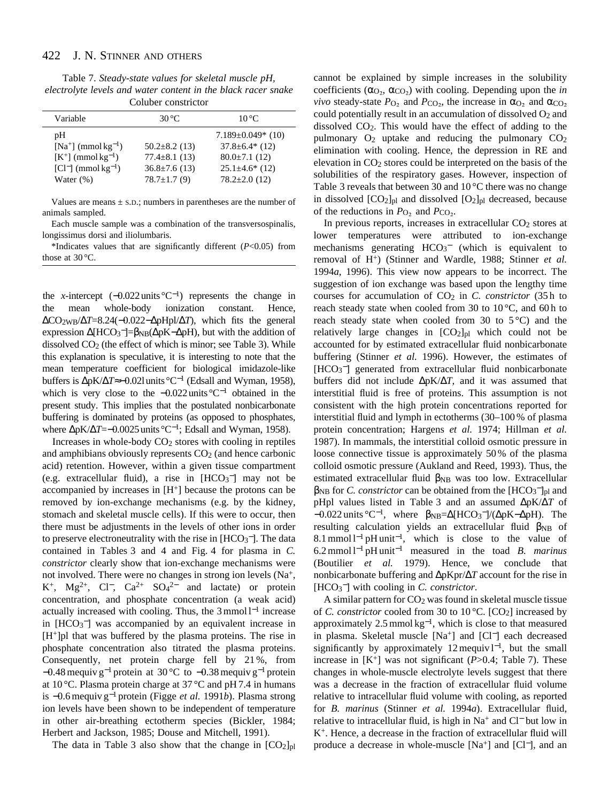Table 7. *Steady-state values for skeletal muscle pH, electrolyte levels and water content in the black racer snake* Coluber constrictor

| Variable                          | 30 °C               | $10^{\circ}$ C         |
|-----------------------------------|---------------------|------------------------|
| pH                                |                     | $7.189 \pm 0.049$ (10) |
| $[Na^+]$ (mmol kg <sup>-1</sup> ) | $50.2 \pm 8.2$ (13) | $37.8 \pm 6.4*$ (12)   |
| $[K^+]$ (mmol kg <sup>-1</sup> )  | $77.4 \pm 8.1$ (13) | $80.0 \pm 7.1$ (12)    |
| $[Cl^-]$ (mmol kg <sup>-1</sup> ) | $36.8 \pm 7.6$ (13) | $25.1 \pm 4.6^*$ (12)  |
| Water $(\%)$                      | $78.7 \pm 1.7(9)$   | $78.2 \pm 2.0$ (12)    |

Values are means  $\pm$  s.D.; numbers in parentheses are the number of animals sampled.

Each muscle sample was a combination of the transversospinalis, longissimus dorsi and iliolumbaris.

\*Indicates values that are significantly different (*P*<0.05) from those at 30 °C.

the *x*-intercept  $(-0.022 \text{ units} \degree \text{C}^{-1})$  represents the change in the mean whole-body ionization constant. Hence, ∆CO2WB/∆*T*=8.24(−0.022−∆pHpl/∆*T*), which fits the general expression ∆[HCO<sub>3</sub><sup>-</sup>]=β<sub>NB</sub>(∆pK-∆pH), but with the addition of dissolved  $CO<sub>2</sub>$  (the effect of which is minor; see Table 3). While this explanation is speculative, it is interesting to note that the mean temperature coefficient for biological imidazole-like buffers is ∆pK/∆*T*≈−0.02lunits°C−<sup>1</sup> (Edsall and Wyman, 1958), which is very close to the −0.022units°C−<sup>1</sup> obtained in the present study. This implies that the postulated nonbicarbonate buffering is dominated by proteins (as opposed to phosphates, where ΔpK/Δ*T*=−0.0025 units °C<sup>-1</sup>; Edsall and Wyman, 1958).

Increases in whole-body  $CO<sub>2</sub>$  stores with cooling in reptiles and amphibians obviously represents  $CO<sub>2</sub>$  (and hence carbonic acid) retention. However, within a given tissue compartment (e.g. extracellular fluid), a rise in  $[HCO<sub>3</sub>^-]$  may not be accompanied by increases in  $[H^+]$  because the protons can be removed by ion-exchange mechanisms (e.g. by the kidney, stomach and skeletal muscle cells). If this were to occur, then there must be adjustments in the levels of other ions in order to preserve electroneutrality with the rise in  $[HCO<sub>3</sub><sup>-</sup>]$ . The data contained in Tables 3 and 4 and Fig. 4 for plasma in *C. constrictor* clearly show that ion-exchange mechanisms were not involved. There were no changes in strong ion levels (Na+, K<sup>+</sup>, Mg<sup>2+</sup>, Cl<sup>−</sup>, Ca<sup>2+</sup> SO<sub>4</sub><sup>2−</sup> and lactate) or protein concentration, and phosphate concentration (a weak acid) actually increased with cooling. Thus, the 3 mmol l−<sup>1</sup> increase in [HCO<sub>3</sub><sup>-</sup>] was accompanied by an equivalent increase in  $[H^+]$ pl that was buffered by the plasma proteins. The rise in phosphate concentration also titrated the plasma proteins. Consequently, net protein charge fell by 21 %, from −0.48 mequiv g−<sup>1</sup> protein at 30 °C to −0.38 mequiv g−<sup>1</sup> protein at 10 °C. Plasma protein charge at 37 °C and pH 7.4 in humans is −0.6 mequiv g−<sup>1</sup> protein (Figge *et al.* 1991*b*). Plasma strong ion levels have been shown to be independent of temperature in other air-breathing ectotherm species (Bickler, 1984; Herbert and Jackson, 1985; Douse and Mitchell, 1991).

The data in Table 3 also show that the change in  $[CO_2]_{pl}$ 

cannot be explained by simple increases in the solubility coefficients ( $\alpha_{\text{O}_2}$ ,  $\alpha_{\text{CO}_2}$ ) with cooling. Depending upon the *in vivo* steady-state  $P_{\text{O}_2}$  and  $P_{\text{CO}_2}$ , the increase in  $\alpha_{\text{O}_2}$  and  $\alpha_{\text{CO}_2}$ could potentially result in an accumulation of dissolved  $O_2$  and dissolved CO2. This would have the effect of adding to the pulmonary  $O_2$  uptake and reducing the pulmonary  $CO_2$ elimination with cooling. Hence, the depression in RE and elevation in CO2 stores could be interpreted on the basis of the solubilities of the respiratory gases. However, inspection of Table 3 reveals that between 30 and 10 °C there was no change in dissolved  $[CO_2]_{pl}$  and dissolved  $[O_2]_{pl}$  decreased, because of the reductions in  $P_{\text{O}_2}$  and  $P_{\text{CO}_2}$ .

In previous reports, increases in extracellular  $CO<sub>2</sub>$  stores at lower temperatures were attributed to ion-exchange mechanisms generating  $HCO<sub>3</sub><sup>-</sup>$  (which is equivalent to removal of H+) (Stinner and Wardle, 1988; Stinner *et al.* 1994*a*, 1996). This view now appears to be incorrect. The suggestion of ion exchange was based upon the lengthy time courses for accumulation of CO<sub>2</sub> in *C. constrictor* (35h to reach steady state when cooled from 30 to  $10^{\circ}$ C, and 60 h to reach steady state when cooled from 30 to  $5^{\circ}$ C) and the relatively large changes in  $[CO_2]_{pl}$  which could not be accounted for by estimated extracellular fluid nonbicarbonate buffering (Stinner *et al.* 1996). However, the estimates of [HCO<sub>3</sub><sup>-</sup>] generated from extracellular fluid nonbicarbonate buffers did not include ∆pK/∆*T*, and it was assumed that interstitial fluid is free of proteins. This assumption is not consistent with the high protein concentrations reported for interstitial fluid and lymph in ectotherms (30–100 % of plasma protein concentration; Hargens *et al.* 1974; Hillman *et al.* 1987). In mammals, the interstitial colloid osmotic pressure in loose connective tissue is approximately 50 % of the plasma colloid osmotic pressure (Aukland and Reed, 1993). Thus, the estimated extracellular fluid β<sub>NB</sub> was too low. Extracellular βNB for *C. constrictor* can be obtained from the [HCO3 <sup>−</sup>]pl and pHpl values listed in Table 3 and an assumed ∆pK/∆*T* of  $-0.022$  units °C<sup>-1</sup>, where  $\beta_{NB} = \Delta[HCO_3^-]/(\Delta pK-\Delta pH)$ . The resulting calculation yields an extracellular fluid β<sub>NB</sub> of 8.1 mmol l−<sup>1</sup> pH unit<sup>−</sup>1, which is close to the value of 6.2 mmol l−<sup>1</sup> pH unit−<sup>1</sup> measured in the toad *B. marinus* (Boutilier *et al.* 1979). Hence, we conclude that nonbicarbonate buffering and ∆pKpr/∆*T* account for the rise in [HCO3 <sup>−</sup>] with cooling in *C. constrictor*.

A similar pattern for CO2 was found in skeletal muscle tissue of *C. constrictor* cooled from 30 to 10 °C. [CO2] increased by approximately 2.5 mmol kg<sup>−</sup>1, which is close to that measured in plasma. Skeletal muscle [Na+] and [Cl<sup>−</sup>] each decreased significantly by approximately 12 mequiv  $l^{-1}$ , but the small increase in  $[K^+]$  was not significant ( $P > 0.4$ ; Table 7). These changes in whole-muscle electrolyte levels suggest that there was a decrease in the fraction of extracellular fluid volume relative to intracellular fluid volume with cooling, as reported for *B. marinus* (Stinner *et al.* 1994*a*). Extracellular fluid, relative to intracellular fluid, is high in Na+ and Cl<sup>−</sup> but low in K+. Hence, a decrease in the fraction of extracellular fluid will produce a decrease in whole-muscle [Na+] and [Cl<sup>−</sup>], and an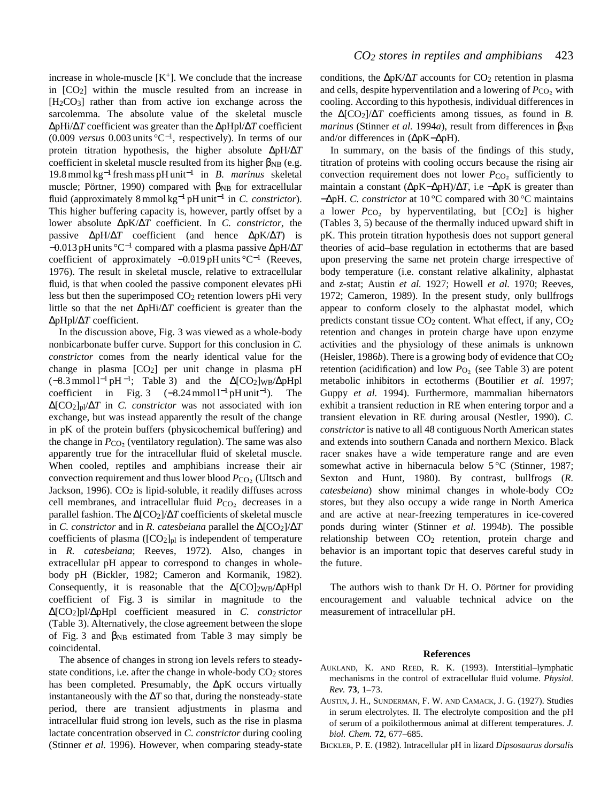increase in whole-muscle  $[K^+]$ . We conclude that the increase in  $[CO<sub>2</sub>]$  within the muscle resulted from an increase in [H2CO3] rather than from active ion exchange across the sarcolemma. The absolute value of the skeletal muscle ∆pHi/∆*T* coefficient was greater than the ∆pHpl/∆*T* coefficient (0.009 *versus* 0.003 units °C<sup>−</sup>1, respectively). In terms of our protein titration hypothesis, the higher absolute ∆pH/∆*T* coefficient in skeletal muscle resulted from its higher  $\beta_{\rm NB}$  (e.g. 19.8 mmol kg−<sup>1</sup> fresh mass pH unit−<sup>1</sup> in *B. marinus* skeletal muscle; Pörtner, 1990) compared with  $\beta_{NB}$  for extracellular fluid (approximately 8 mmol kg−<sup>1</sup> pH unit−<sup>1</sup> in *C. constrictor*). This higher buffering capacity is, however, partly offset by a lower absolute ∆pK/∆*T* coefficient. In *C. constrictor*, the passive ∆pH/∆*T* coefficient (and hence ∆pK/∆*T*) is −0.013 pH units °C−<sup>1</sup> compared with a plasma passive ∆pH/∆*T* coefficient of approximately −0.019 pH units °C−<sup>1</sup> (Reeves, 1976). The result in skeletal muscle, relative to extracellular fluid, is that when cooled the passive component elevates pHi less but then the superimposed  $CO<sub>2</sub>$  retention lowers pHi very little so that the net ∆pHi/∆*T* coefficient is greater than the ∆pHpl/∆*T* coefficient.

In the discussion above, Fig. 3 was viewed as a whole-body nonbicarbonate buffer curve. Support for this conclusion in *C. constrictor* comes from the nearly identical value for the change in plasma  $[CO_2]$  per unit change in plasma pH  $(-8.3 \text{ mmol} 1^{-1} \text{pH}^{-1}$ ; Table 3) and the ∆[CO<sub>2</sub>]w<sub>B</sub>/∆pHpl coefficient in Fig. 3  $(-8.24 \text{ mmol} \, \text{m}^{-1})$ . The ∆[CO2]pl/∆*T* in *C. constrictor* was not associated with ion exchange, but was instead apparently the result of the change in pK of the protein buffers (physicochemical buffering) and the change in  $P_{CO<sub>2</sub>}$  (ventilatory regulation). The same was also apparently true for the intracellular fluid of skeletal muscle. When cooled, reptiles and amphibians increase their air convection requirement and thus lower blood  $P_{\text{CO}_2}$  (Ultsch and Jackson, 1996). CO<sub>2</sub> is lipid-soluble, it readily diffuses across cell membranes, and intracellular fluid *P*<sub>CO2</sub> decreases in a parallel fashion. The ∆[CO2]/∆*T* coefficients of skeletal muscle in *C. constrictor* and in *R. catesbeiana* parallel the ∆[CO2]/∆*T* coefficients of plasma  $([CO_2]_{p1}$  is independent of temperature in *R. catesbeiana*; Reeves, 1972). Also, changes in extracellular pH appear to correspond to changes in wholebody pH (Bickler, 1982; Cameron and Kormanik, 1982). Consequently, it is reasonable that the  $\Delta$ [CO]<sub>2WB</sub>/ $\Delta$ pHpl coefficient of Fig. 3 is similar in magnitude to the ∆[CO2]pl/∆pHpl coefficient measured in *C. constrictor* (Table 3). Alternatively, the close agreement between the slope of Fig. 3 and  $\beta_{NB}$  estimated from Table 3 may simply be coincidental.

The absence of changes in strong ion levels refers to steadystate conditions, i.e. after the change in whole-body CO<sub>2</sub> stores has been completed. Presumably, the ∆pK occurs virtually instantaneously with the  $\Delta T$  so that, during the nonsteady-state period, there are transient adjustments in plasma and intracellular fluid strong ion levels, such as the rise in plasma lactate concentration observed in *C. constrictor* during cooling (Stinner *et al.* 1996). However, when comparing steady-state conditions, the ΔpK/Δ*T* accounts for CO<sub>2</sub> retention in plasma and cells, despite hyperventilation and a lowering of  $P_{\text{CO}_2}$  with cooling. According to this hypothesis, individual differences in the ∆[CO2]/∆*T* coefficients among tissues, as found in *B. marinus* (Stinner *et al.* 1994*a*), result from differences in  $\beta_{NB}$ and/or differences in (∆pK−∆pH).

In summary, on the basis of the findings of this study, titration of proteins with cooling occurs because the rising air convection requirement does not lower  $P_{CO_2}$  sufficiently to maintain a constant (∆pK−∆pH)/∆*T*, i.e −∆pK is greater than −∆pH. *C. constrictor* at 10 °C compared with 30 °C maintains a lower  $P_{CO<sub>2</sub>}$  by hyperventilating, but  $[CO<sub>2</sub>]$  is higher (Tables 3, 5) because of the thermally induced upward shift in pK. This protein titration hypothesis does not support general theories of acid–base regulation in ectotherms that are based upon preserving the same net protein charge irrespective of body temperature (i.e. constant relative alkalinity, alphastat and *z*-stat; Austin *et al.* 1927; Howell *et al.* 1970; Reeves, 1972; Cameron, 1989). In the present study, only bullfrogs appear to conform closely to the alphastat model, which predicts constant tissue  $CO<sub>2</sub>$  content. What effect, if any,  $CO<sub>2</sub>$ retention and changes in protein charge have upon enzyme activities and the physiology of these animals is unknown (Heisler, 1986*b*). There is a growing body of evidence that  $CO<sub>2</sub>$ retention (acidification) and low  $P<sub>O<sub>2</sub></sub>$  (see Table 3) are potent metabolic inhibitors in ectotherms (Boutilier *et al.* 1997; Guppy *et al.* 1994). Furthermore, mammalian hibernators exhibit a transient reduction in RE when entering torpor and a transient elevation in RE during arousal (Nestler, 1990). *C. constrictor* is native to all 48 contiguous North American states and extends into southern Canada and northern Mexico. Black racer snakes have a wide temperature range and are even somewhat active in hibernacula below 5 °C (Stinner, 1987; Sexton and Hunt, 1980). By contrast, bullfrogs (*R. catesbeiana*) show minimal changes in whole-body CO2 stores, but they also occupy a wide range in North America and are active at near-freezing temperatures in ice-covered ponds during winter (Stinner *et al.* 1994*b*). The possible relationship between  $CO<sub>2</sub>$  retention, protein charge and behavior is an important topic that deserves careful study in the future.

The authors wish to thank Dr H. O. Pörtner for providing encouragement and valuable technical advice on the measurement of intracellular pH.

# **References**

- AUKLAND, K. AND REED, R. K. (1993). Interstitial–lymphatic mechanisms in the control of extracellular fluid volume. *Physiol. Rev.* **73**, 1–73.
- AUSTIN, J. H., SUNDERMAN, F. W. AND CAMACK, J. G. (1927). Studies in serum electrolytes. II. The electrolyte composition and the pH of serum of a poikilothermous animal at different temperatures. *J. biol. Chem.* **72**, 677–685.
- BICKLER, P. E. (1982). Intracellular pH in lizard *Dipsosaurus dorsalis*